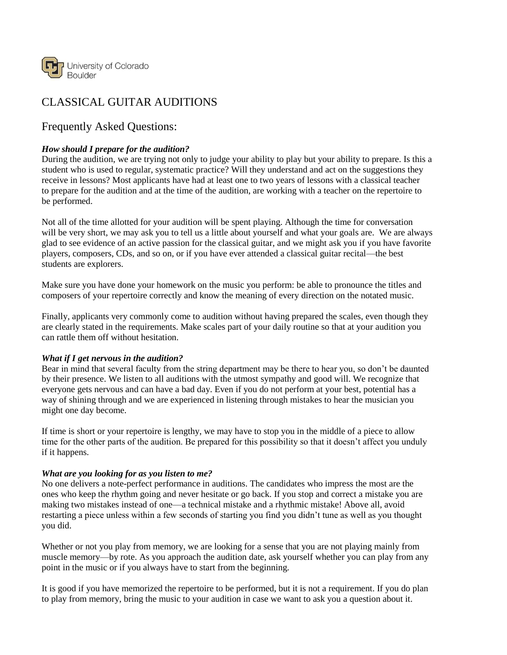

# CLASSICAL GUITAR AUDITIONS

# Frequently Asked Questions:

### *How should I prepare for the audition?*

During the audition, we are trying not only to judge your ability to play but your ability to prepare. Is this a student who is used to regular, systematic practice? Will they understand and act on the suggestions they receive in lessons? Most applicants have had at least one to two years of lessons with a classical teacher to prepare for the audition and at the time of the audition, are working with a teacher on the repertoire to be performed.

Not all of the time allotted for your audition will be spent playing. Although the time for conversation will be very short, we may ask you to tell us a little about yourself and what your goals are. We are always glad to see evidence of an active passion for the classical guitar, and we might ask you if you have favorite players, composers, CDs, and so on, or if you have ever attended a classical guitar recital—the best students are explorers.

Make sure you have done your homework on the music you perform: be able to pronounce the titles and composers of your repertoire correctly and know the meaning of every direction on the notated music.

Finally, applicants very commonly come to audition without having prepared the scales, even though they are clearly stated in the requirements. Make scales part of your daily routine so that at your audition you can rattle them off without hesitation.

#### *What if I get nervous in the audition?*

Bear in mind that several faculty from the string department may be there to hear you, so don't be daunted by their presence. We listen to all auditions with the utmost sympathy and good will. We recognize that everyone gets nervous and can have a bad day. Even if you do not perform at your best, potential has a way of shining through and we are experienced in listening through mistakes to hear the musician you might one day become.

If time is short or your repertoire is lengthy, we may have to stop you in the middle of a piece to allow time for the other parts of the audition. Be prepared for this possibility so that it doesn't affect you unduly if it happens.

#### *What are you looking for as you listen to me?*

No one delivers a note-perfect performance in auditions. The candidates who impress the most are the ones who keep the rhythm going and never hesitate or go back. If you stop and correct a mistake you are making two mistakes instead of one—a technical mistake and a rhythmic mistake! Above all, avoid restarting a piece unless within a few seconds of starting you find you didn't tune as well as you thought you did.

Whether or not you play from memory, we are looking for a sense that you are not playing mainly from muscle memory—by rote. As you approach the audition date, ask yourself whether you can play from any point in the music or if you always have to start from the beginning.

It is good if you have memorized the repertoire to be performed, but it is not a requirement. If you do plan to play from memory, bring the music to your audition in case we want to ask you a question about it.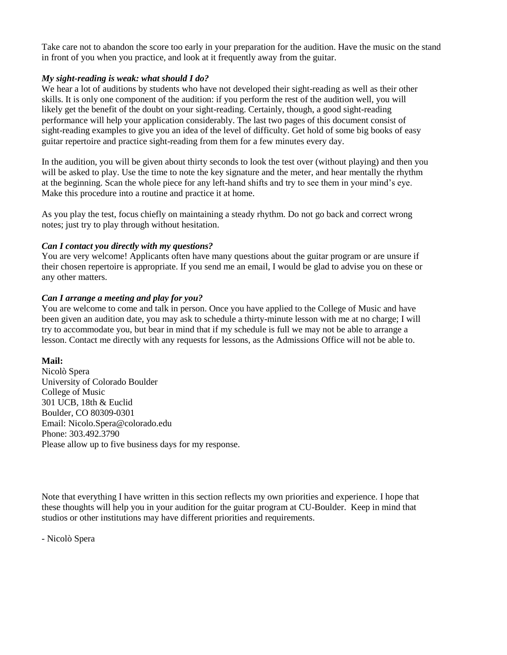Take care not to abandon the score too early in your preparation for the audition. Have the music on the stand in front of you when you practice, and look at it frequently away from the guitar.

#### *My sight-reading is weak: what should I do?*

We hear a lot of auditions by students who have not developed their sight-reading as well as their other skills. It is only one component of the audition: if you perform the rest of the audition well, you will likely get the benefit of the doubt on your sight-reading. Certainly, though, a good sight-reading performance will help your application considerably. The last two pages of this document consist of sight-reading examples to give you an idea of the level of difficulty. Get hold of some big books of easy guitar repertoire and practice sight-reading from them for a few minutes every day.

In the audition, you will be given about thirty seconds to look the test over (without playing) and then you will be asked to play. Use the time to note the key signature and the meter, and hear mentally the rhythm at the beginning. Scan the whole piece for any left-hand shifts and try to see them in your mind's eye. Make this procedure into a routine and practice it at home.

As you play the test, focus chiefly on maintaining a steady rhythm. Do not go back and correct wrong notes; just try to play through without hesitation.

#### *Can I contact you directly with my questions?*

You are very welcome! Applicants often have many questions about the guitar program or are unsure if their chosen repertoire is appropriate. If you send me an email, I would be glad to advise you on these or any other matters.

#### *Can I arrange a meeting and play for you?*

You are welcome to come and talk in person. Once you have applied to the College of Music and have been given an audition date, you may ask to schedule a thirty-minute lesson with me at no charge; I will try to accommodate you, but bear in mind that if my schedule is full we may not be able to arrange a lesson. Contact me directly with any requests for lessons, as the Admissions Office will not be able to.

### **Mail:**

Nicolò Spera University of Colorado Boulder College of Music 301 UCB, 18th & Euclid Boulder, CO 80309-0301 Email: Nicolo.Spera@colorado.edu Phone: 303.492.3790 Please allow up to five business days for my response.

Note that everything I have written in this section reflects my own priorities and experience. I hope that these thoughts will help you in your audition for the guitar program at CU-Boulder. Keep in mind that studios or other institutions may have different priorities and requirements.

- Nicolò Spera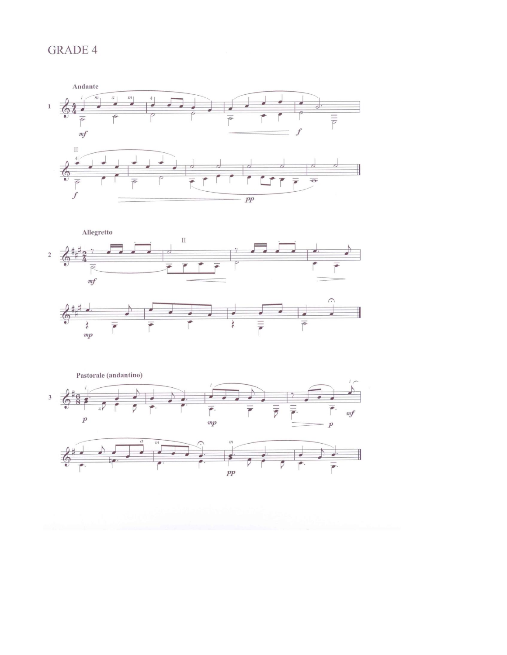# **GRADE 4**